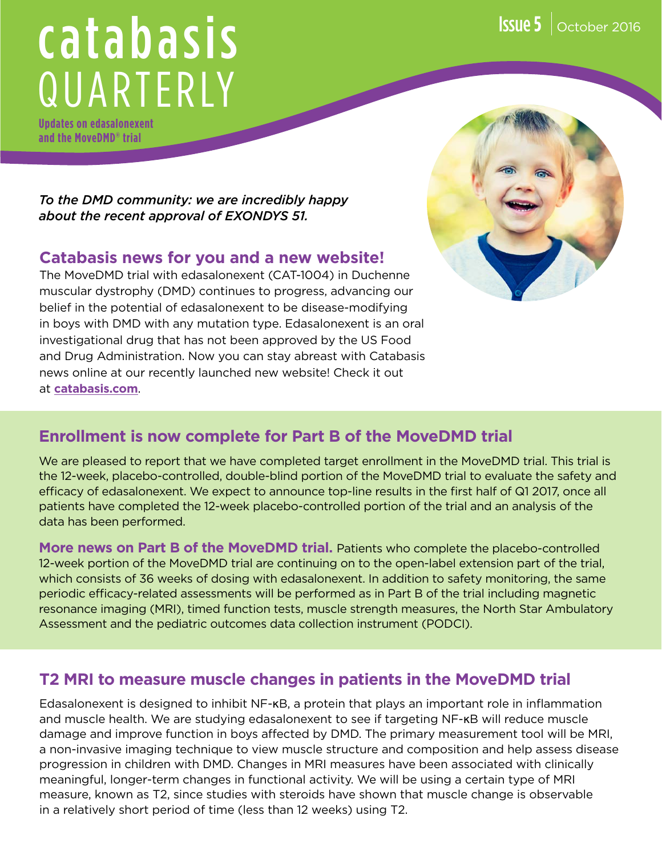# catabasis QUARTERLY

**Updates on edasalonexent and the MoveDMD® trial**

*To the DMD community: we are incredibly happy about the recent approval of EXONDYS 51.*

#### **Catabasis news for you and a new website!**

The MoveDMD trial with edasalonexent (CAT-1004) in Duchenne muscular dystrophy (DMD) continues to progress, advancing our belief in the potential of edasalonexent to be disease-modifying in boys with DMD with any mutation type. Edasalonexent is an oral investigational drug that has not been approved by the US Food and Drug Administration. Now you can stay abreast with Catabasis news online at our recently launched new website! Check it out at **[catabasis.com](http://catabasis.com)**.

## **Enrollment is now complete for Part B of the MoveDMD trial**

We are pleased to report that we have completed target enrollment in the MoveDMD trial. This trial is the 12-week, placebo-controlled, double-blind portion of the MoveDMD trial to evaluate the safety and efficacy of edasalonexent. We expect to announce top-line results in the first half of Q1 2017, once all patients have completed the 12-week placebo-controlled portion of the trial and an analysis of the data has been performed.

**More news on Part B of the MoveDMD trial.** Patients who complete the placebo-controlled 12-week portion of the MoveDMD trial are continuing on to the open-label extension part of the trial, which consists of 36 weeks of dosing with edasalonexent. In addition to safety monitoring, the same periodic efficacy-related assessments will be performed as in Part B of the trial including magnetic resonance imaging (MRI), timed function tests, muscle strength measures, the North Star Ambulatory Assessment and the pediatric outcomes data collection instrument (PODCI).

#### **T2 MRI to measure muscle changes in patients in the MoveDMD trial**

Edasalonexent is designed to inhibit NF-κB, a protein that plays an important role in inflammation and muscle health. We are studying edasalonexent to see if targeting NF-κB will reduce muscle damage and improve function in boys affected by DMD. The primary measurement tool will be MRI, a non-invasive imaging technique to view muscle structure and composition and help assess disease progression in children with DMD. Changes in MRI measures have been associated with clinically meaningful, longer-term changes in functional activity. We will be using a certain type of MRI measure, known as T2, since studies with steroids have shown that muscle change is observable in a relatively short period of time (less than 12 weeks) using T2.